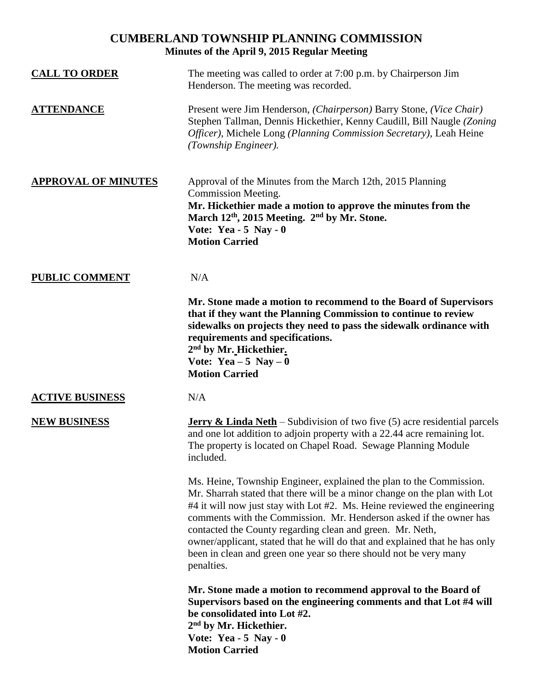## **CUMBERLAND TOWNSHIP PLANNING COMMISSION Minutes of the April 9, 2015 Regular Meeting**

| <b>CALL TO ORDER</b>       | The meeting was called to order at 7:00 p.m. by Chairperson Jim<br>Henderson. The meeting was recorded.                                                                                                                                                                                                                                                                                                                                                                                                                           |
|----------------------------|-----------------------------------------------------------------------------------------------------------------------------------------------------------------------------------------------------------------------------------------------------------------------------------------------------------------------------------------------------------------------------------------------------------------------------------------------------------------------------------------------------------------------------------|
| <b>ATTENDANCE</b>          | Present were Jim Henderson, (Chairperson) Barry Stone, (Vice Chair)<br>Stephen Tallman, Dennis Hickethier, Kenny Caudill, Bill Naugle (Zoning)<br>Officer), Michele Long (Planning Commission Secretary), Leah Heine<br>(Township Engineer).                                                                                                                                                                                                                                                                                      |
| <b>APPROVAL OF MINUTES</b> | Approval of the Minutes from the March 12th, 2015 Planning<br>Commission Meeting.<br>Mr. Hickethier made a motion to approve the minutes from the<br>March 12 <sup>th</sup> , 2015 Meeting. 2 <sup>nd</sup> by Mr. Stone.<br>Vote: Yea - $5$ Nay - 0<br><b>Motion Carried</b>                                                                                                                                                                                                                                                     |
| <b>PUBLIC COMMENT</b>      | N/A                                                                                                                                                                                                                                                                                                                                                                                                                                                                                                                               |
|                            | Mr. Stone made a motion to recommend to the Board of Supervisors<br>that if they want the Planning Commission to continue to review<br>sidewalks on projects they need to pass the sidewalk ordinance with<br>requirements and specifications.<br>2 <sup>nd</sup> by Mr. Hickethier.<br>Vote: Yea $-5$ Nay $-0$<br><b>Motion Carried</b>                                                                                                                                                                                          |
| <b>ACTIVE BUSINESS</b>     | N/A                                                                                                                                                                                                                                                                                                                                                                                                                                                                                                                               |
| <b>NEW BUSINESS</b>        | <b>Jerry &amp; Linda Neth</b> – Subdivision of two five $(5)$ acre residential parcels<br>and one lot addition to adjoin property with a 22.44 acre remaining lot.<br>The property is located on Chapel Road. Sewage Planning Module<br>included.                                                                                                                                                                                                                                                                                 |
|                            | Ms. Heine, Township Engineer, explained the plan to the Commission.<br>Mr. Sharrah stated that there will be a minor change on the plan with Lot<br>#4 it will now just stay with Lot #2. Ms. Heine reviewed the engineering<br>comments with the Commission. Mr. Henderson asked if the owner has<br>contacted the County regarding clean and green. Mr. Neth,<br>owner/applicant, stated that he will do that and explained that he has only<br>been in clean and green one year so there should not be very many<br>penalties. |
|                            | Mr. Stone made a motion to recommend approval to the Board of<br>Supervisors based on the engineering comments and that Lot #4 will<br>be consolidated into Lot #2.<br>2 <sup>nd</sup> by Mr. Hickethier.<br>Vote: Yea - $5$ Nay - 0<br><b>Motion Carried</b>                                                                                                                                                                                                                                                                     |